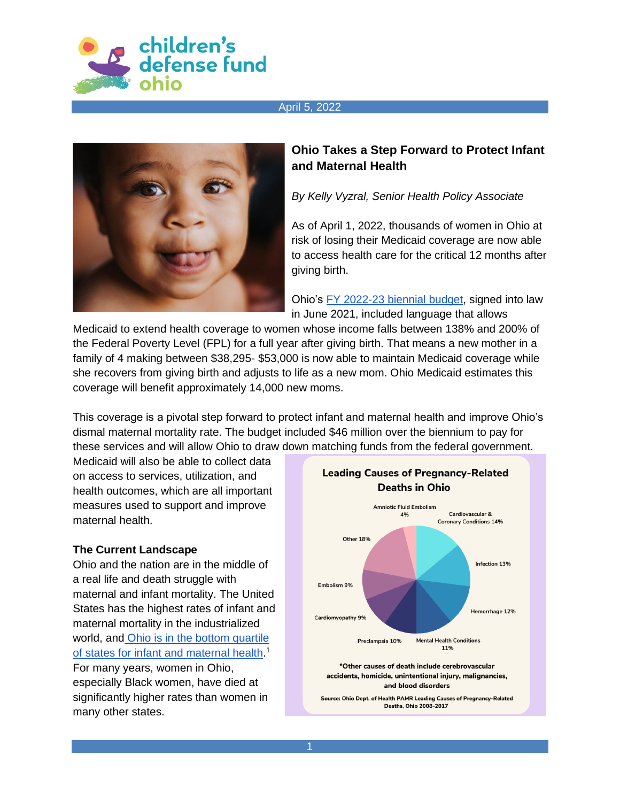



# **Ohio Takes a Step Forward to Protect Infant and Maternal Health**

*By Kelly Vyzral, Senior Health Policy Associate*

As of April 1, 2022, thousands of women in Ohio at risk of losing their Medicaid coverage are now able to access health care for the critical 12 months after giving birth.

Ohio's [FY 2022-23 biennial budget,](https://www.legislature.ohio.gov/legislation/legislation-summary?id=GA134-HB-110) signed into law in June 2021, included language that allows

Medicaid to extend health coverage to women whose income falls between 138% and 200% of the Federal Poverty Level (FPL) for a full year after giving birth. That means a new mother in a family of 4 making between \$38,295- \$53,000 is now able to maintain Medicaid coverage while she recovers from giving birth and adjusts to life as a new mom. Ohio Medicaid estimates this coverage will benefit approximately 14,000 new moms.

This coverage is a pivotal step forward to protect infant and maternal health and improve Ohio's dismal maternal mortality rate. The budget included \$46 million over the biennium to pay for these services and will allow Ohio to draw down matching funds from the federal government.

Medicaid will also be able to collect data on access to services, utilization, and health outcomes, which are all important measures used to support and improve maternal health.

#### **The Current Landscape**

Ohio and the nation are in the middle of a real life and death struggle with maternal and infant mortality. The United States has the highest rates of infant and maternal mortality in the industrialized world, and [Ohio is in the bottom quartile](https://www.healthpolicyohio.org/wp-content/uploads/2018/11/ChildAssessment_ExecutiveSummary.pdf)  [of states for infant and maternal health.](https://www.healthpolicyohio.org/wp-content/uploads/2018/11/ChildAssessment_ExecutiveSummary.pdf)<sup>1</sup> For many years, women in Ohio, especially Black women, have died at significantly higher rates than women in many other states.



Source: Ohio Dept. of Health PAMR Leading Causes of Pregnancy-Related **Deaths, Ohio 2008-2017**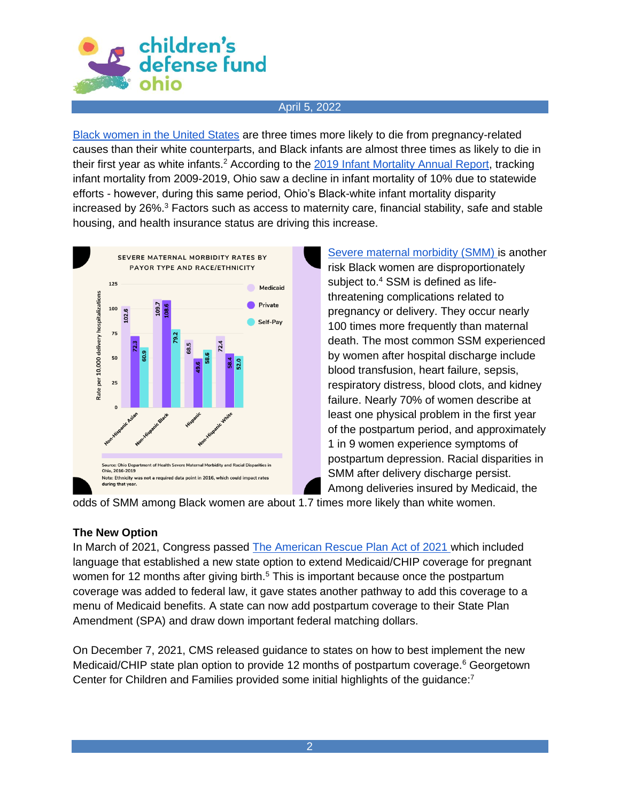

[Black women in the United States](https://www.cdc.gov/media/releases/2019/p0905-racial-ethnic-disparities-pregnancy-deaths.html) are three times more likely to die from pregnancy-related causes than their white counterparts, and Black infants are almost three times as likely to die in their first year as white infants.<sup>2</sup> According to the [2019 Infant Mortality Annual Report,](https://odh.ohio.gov/wps/wcm/connect/gov/e30e2521-b6ae-4d75-a5fa-09c4241feb42/Infant+Mortality+Report+2019+FINAL.pdf?MOD=AJPERES&CONVERT_TO=url&CACHEID=ROOTWORKSPACE.Z18_M1HGGIK0N0JO00QO9DDDDM3000-e30e2521-b6ae-4d75-a5fa-09c4241feb42-npOcdC5) tracking infant mortality from 2009-2019, Ohio saw a decline in infant mortality of 10% due to statewide efforts - however, during this same period, Ohio's Black-white infant mortality disparity increased by  $26\%$ <sup>3</sup> Factors such as access to maternity care, financial stability, safe and stable housing, and health insurance status are driving this increase.



[Severe maternal morbidity \(SMM\) i](https://www.cdc.gov/reproductivehealth/maternalinfanthealth/smm/smm-after-delivery-discharge-among-us-women/index.htm#:~:text=Racial%20disparities%20in%20SMM%20after%20delivery%20discharge%20persist.,more%20likely%20than%20White%20women.%20The%20Way%20Forward)s another risk Black women are disproportionately subject to.<sup>4</sup> SSM is defined as lifethreatening complications related to pregnancy or delivery. They occur nearly 100 times more frequently than maternal death. The most common SSM experienced by women after hospital discharge include blood transfusion, heart failure, sepsis, respiratory distress, blood clots, and kidney failure. Nearly 70% of women describe at least one physical problem in the first year of the postpartum period, and approximately 1 in 9 women experience symptoms of postpartum depression. Racial disparities in SMM after delivery discharge persist. Among deliveries insured by Medicaid, the

odds of SMM among Black women are about 1.7 times more likely than white women.

# **The New Option**

In March of 2021, Congress passed [The American Rescue Plan Act of 2021 w](https://www.manatt.com/Manatt/media/Documents/Articles/ARP-Postpartum-Extension.pdf)hich included language that established a new state option to extend Medicaid/CHIP coverage for pregnant women for 12 months after giving birth.<sup>5</sup> This is important because once the postpartum coverage was added to federal law, it gave states another pathway to add this coverage to a menu of Medicaid benefits. A state can now add postpartum coverage to their State Plan Amendment (SPA) and draw down important federal matching dollars.

On December 7, 2021, CMS released [guidance](https://www.medicaid.gov/federal-policy-guidance/downloads/sho21007.pdf) to states on how to best implement the new Medicaid/CHIP state plan option to provide 12 months of postpartum coverage.<sup>6</sup> Georgetown Center for Children and Families provided some initial [highlights of the guidance:](https://ccf.georgetown.edu/2021/12/07/cms-issues-guidance-on-new-postpartum-coverage-state-option-in-medicaid-and-chip/) $7$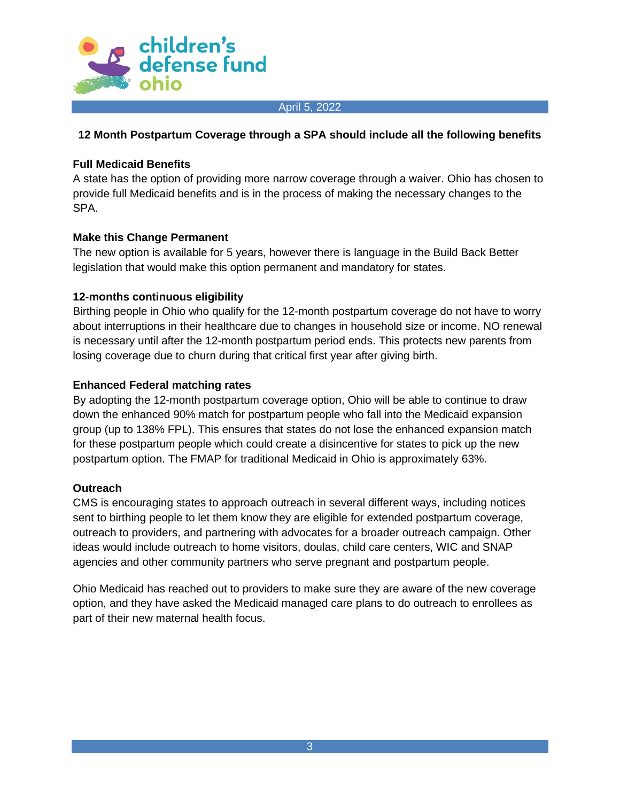

## **12 Month Postpartum Coverage through a SPA should include all the following benefits**

## **Full Medicaid Benefits**

A state has the option of providing more narrow coverage through a waiver. Ohio has chosen to provide full Medicaid benefits and is in the process of making the necessary changes to the SPA.

## **Make this Change Permanent**

The new option is available for 5 years, however there is language in the Build Back Better legislation that would make this option permanent and mandatory for states.

## **12-months continuous eligibility**

Birthing people in Ohio who qualify for the 12-month postpartum coverage do not have to worry about interruptions in their healthcare due to changes in household size or income. NO renewal is necessary until after the 12-month postpartum period ends. This protects new parents from losing coverage due to churn during that critical first year after giving birth.

## **Enhanced Federal matching rates**

By adopting the 12-month postpartum coverage option, Ohio will be able to continue to draw down the enhanced 90% match for postpartum people who fall into the Medicaid expansion group (up to 138% FPL). This ensures that states do not lose the enhanced expansion match for these postpartum people which could create a disincentive for states to pick up the new postpartum option. The FMAP for traditional Medicaid in Ohio is approximately 63%.

### **Outreach**

CMS is encouraging states to approach outreach in several different ways, including notices sent to birthing people to let them know they are eligible for extended postpartum coverage, outreach to providers, and partnering with advocates for a broader outreach campaign. Other ideas would include outreach to home visitors, doulas, child care centers, WIC and SNAP agencies and other community partners who serve pregnant and postpartum people.

Ohio Medicaid has reached out to providers to make sure they are aware of the new coverage option, and they have asked the Medicaid managed care plans to do outreach to enrollees as part of their new maternal health focus.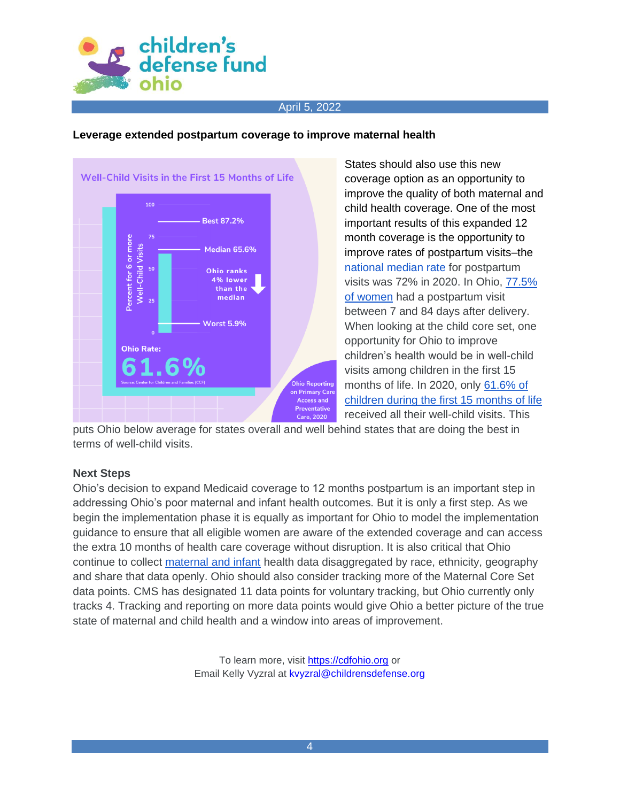

### **Leverage extended postpartum coverage to improve maternal health**



States should also use this new coverage option as an opportunity to improve the quality of both maternal and child health coverage. One of the most important results of this expanded 12 month coverage is the opportunity to improve rates of postpartum visits–the [national median rate](https://www.medicaid.gov/medicaid/quality-of-care/downloads/2021-maternity-chart-pack.pdf) for postpartum visits was 72% in 2020. In Ohio, [77.5%](https://www.medicaid.gov/state-overviews/stateprofile.html?state=ohio)  [of women](https://www.medicaid.gov/state-overviews/stateprofile.html?state=ohio) had a postpartum visit between 7 and 84 days after delivery. When looking at the child core set, one opportunity for Ohio to improve children's health would be in well-child visits among children in the first 15 months of life. In 2020, only [61.6% of](https://kidshealthcarereport.ccf.georgetown.edu/states/ohio/)  [children during the first 15 months of life](https://kidshealthcarereport.ccf.georgetown.edu/states/ohio/) received all their well-child visits. This

puts Ohio below average for states overall and well behind states that are doing the best in terms of well-child visits.

### **Next Steps**

Ohio's decision to expand Medicaid coverage to 12 months postpartum is an important step in addressing Ohio's poor maternal and infant health outcomes. But it is only a first step. As we begin the implementation phase it is equally as important for Ohio to model the implementation guidance to ensure that all eligible women are aware of the extended coverage and can access the extra 10 months of health care coverage without disruption. It is also critical that Ohio continue to collect [maternal and infant](https://odh.ohio.gov/wps/wcm/connect/gov/2122f7e6-7f52-4422-a02d-d2c34a19fc12/Quarterly+Infant+Mortality+Scorecard+for+Ohio+Jan+2022+Report+17.pdf?MOD=AJPERES&CONVERT_TO=url&CACHEID=ROOTWORKSPACE.Z18_K9I401S01H7F40QBNJU3SO1F56-2122f7e6-7f52-4422-a02d-d2c34a19fc12-nTnQJ-6) health data disaggregated by race, ethnicity, geography and share that data openly. Ohio should also consider tracking more of the Maternal Core Set data points. CMS has designated 11 data points for voluntary tracking, but Ohio currently only tracks 4. Tracking and reporting on more data points would give Ohio a better picture of the true state of maternal and child health and a window into areas of improvement.

> To learn more, visit [https://cdfohio.org](https://cdfohio.org/) or Email Kelly Vyzral at [kvyzral@childrensdefense.org](mailto:kvyzral@childrensdefense.org)